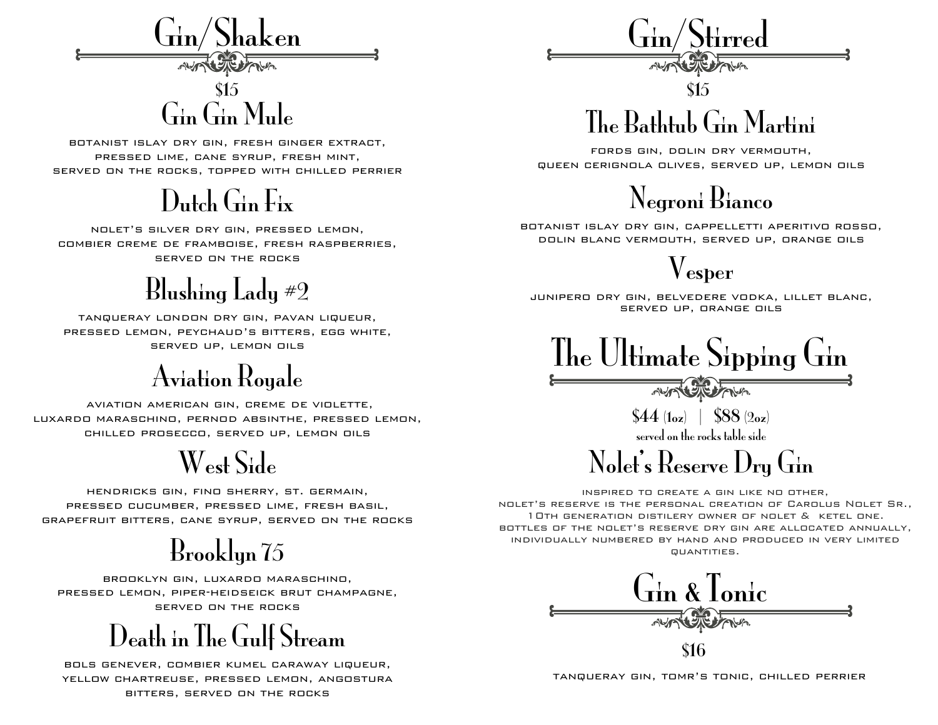

# Gin Gin Mule

botanist islay dry gin, fresh ginger extract, pressed lime, cane syrup, fresh mint, served on the rocks, topped with chilled perrier

#### Dutch Gin Fix

nolet's silver dry gin, pressed lemon, combier creme de framboise, fresh raspberries, served on the rocks

## Blushing Lady #2

tanqueray london dry gin, pavan liqueur, pressed lemon, peychaud's bitters, egg white, served up, lemon oils

## Aviation Royale

 aviation american gin, creme de violette, luxardo maraschino, pernod absinthe, pressed lemon, chilled prosecco, served up, lemon oils

## West Side

hendricks gin, fino sherry, st. germain, pressed cucumber, pressed lime, fresh basil, grapefruit bitters, cane syrup, served on the rocks

## Brooklyn 75

brooklyn gin, luxardo maraschino, pressed lemon, piper-heidseick brut champagne, served on the rocks

Death in The Gulf Stream

bols genever, combier kumel caraway liqueur, yellow chartreuse, pressed lemon, angostura bitters, served on the rocks

 $\rm{Gin/Stirred}$ 

# The Bathtub Gin Martini

fords gin, dolin dry vermouth, queen cerignola olives, served up, lemon oils



botanist islay dry gin, cappelletti aperitivo rosso, dolin blanc vermouth, served up, orange oils

Vesper

junipero dry gin, belvedere vodka, lillet blanc, served up, orange oils



 $$44$  (1oz) | \$88 (2oz) served on the rocks table side

Nolet's Reserve Dry Gin

inspired to create a gin like no other, nolet's reserve is the personal creation of Carolus Nolet Sr., 10th generation distilery owner of nolet & ketel one. bottles of the nolet's reserve dry gin are allocated annually, individually numbered by hand and produced in very limited quantities.



\$16

tanqueray gin, tomr's tonic, chilled perrier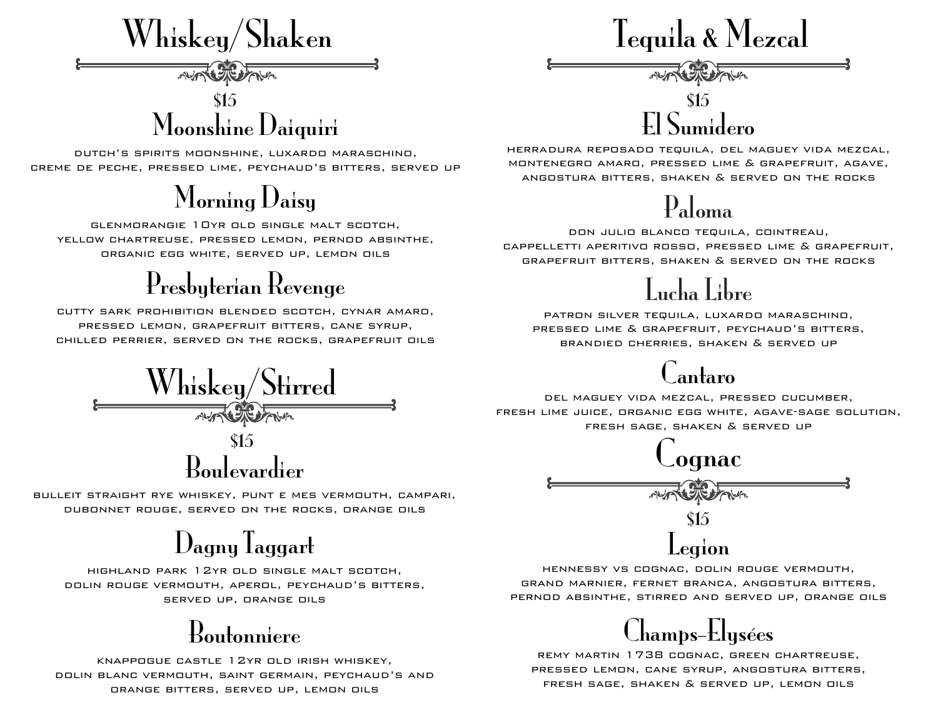

dutch's spirits moonshine, luxardo maraschino, creme de peche, pressed lime, peychaud's bitters, served up

## Morning Daisy

glenmorangie 10yr old single malt scotch, yellow chartreuse, pressed lemon, pernod absinthe, organic egg white, served up, lemon oils

## Presbyterian Revenge

cutty sark prohibition blended scotch, cynar amaro, pressed lemon, grapefruit bitters, cane syrup, chilled perrier, served on the rocks, grapefruit oils

Boulevardier Whiskey/Stirred \$15

bulleit straight rye whiskey, punt e mes vermouth, campari, dubonnet rouge, served on the rocks, orange oils

## Dagny Taggart

highland park 12yr old single malt scotch, dolin rouge vermouth, aperol, peychaud's bitters, served up, orange oils

#### Boutonniere

knappogue castle 12yr old irish whiskey, dolin blanc vermouth, saint germain, peychaud's and orange bitters, served up, lemon oils

Tequila & Mezcal

 $\begin{bmatrix} $15\\ \text{C} \end{bmatrix}$ 

herradura reposado tequila, del maguey vida mezcal, montenegro amaro, pressed lime & grapefruit, agave, angostura bitters, shaken & served on the rocks

#### Paloma

don julio blanco tequila, cointreau, cappelletti aperitivo rosso, pressed lime & grapefruit, grapefruit bitters, shaken & served on the rocks



patron silver tequila, luxardo maraschino, pressed lime & grapefruit, peychaud's bitters, brandied cherries, shaken & served up

#### antaro

del maguey vida mezcal, pressed cucumber, fresh lime juice, organic egg white, agave-sage solution, fresh sage, shaken & served up



hennessy vs cognac, dolin rouge vermouth, grand marnier, fernet branca, angostura bitters, pernod absinthe, stirred and served up, orange oils



remy martin 1738 cognac, green chartreuse, pressed lemon, cane syrup, angostura bitters, fresh sage, shaken & served up, lemon oils